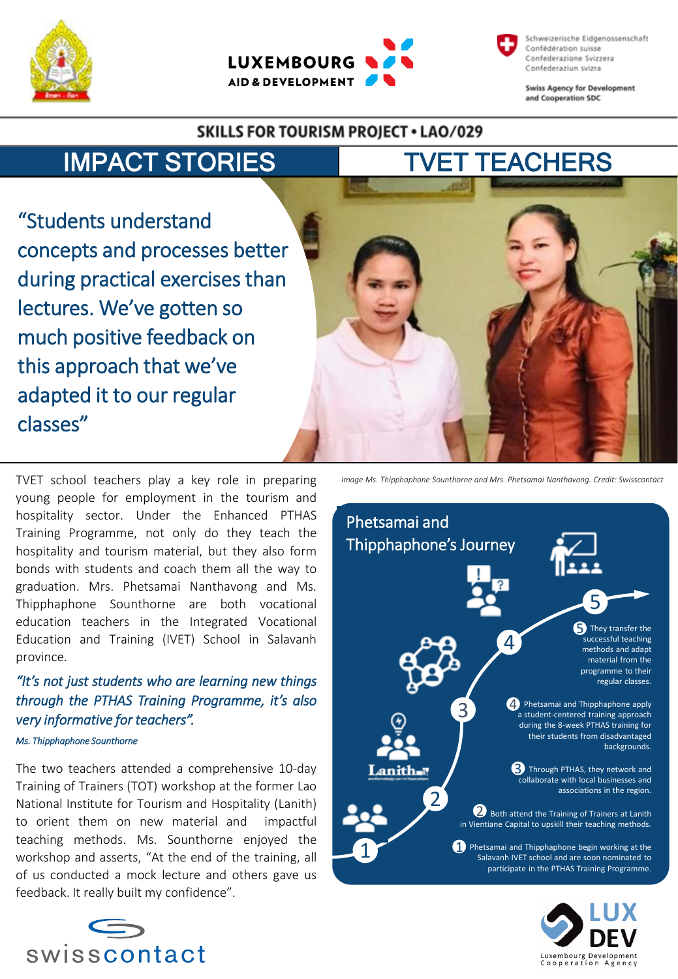



Schweizerische Eidgenossenschaft Confédération suisse Confederazione Svizzera Confederaziun svizra

**Swiss Agency for Development** and Cooperation SDC

#### **SKILLS FOR TOURISM PROJECT . LAO/029**



"Students understand concepts and processes better during practical exercises than lectures. We've gotten so much positive feedback on this approach that we've adapted it to our regular classes"

TVET school teachers play a key role in preparing young people for employment in the tourism and hospitality sector. Under the Enhanced PTHAS Training Programme, not only do they teach the hospitality and tourism material, but they also form bonds with students and coach them all the way to graduation. Mrs. Phetsamai Nanthavong and Ms. Thipphaphone Sounthorne are both vocational education teachers in the Integrated Vocational Education and Training (IVET) School in Salavanh province.

## *"It's not just students who are learning new things through the PTHAS Training Programme, it's also very informative for teachers".*

#### *Ms. Thipphaphone Sounthorne*

The two teachers attended a comprehensive 10-day Training of Trainers (TOT) workshop at the former Lao National Institute for Tourism and Hospitality (Lanith) to orient them on new material and impactful teaching methods. Ms. Sounthorne enjoyed the workshop and asserts, "At the end of the training, all of us conducted a mock lecture and others gave us feedback. It really built my confidence".